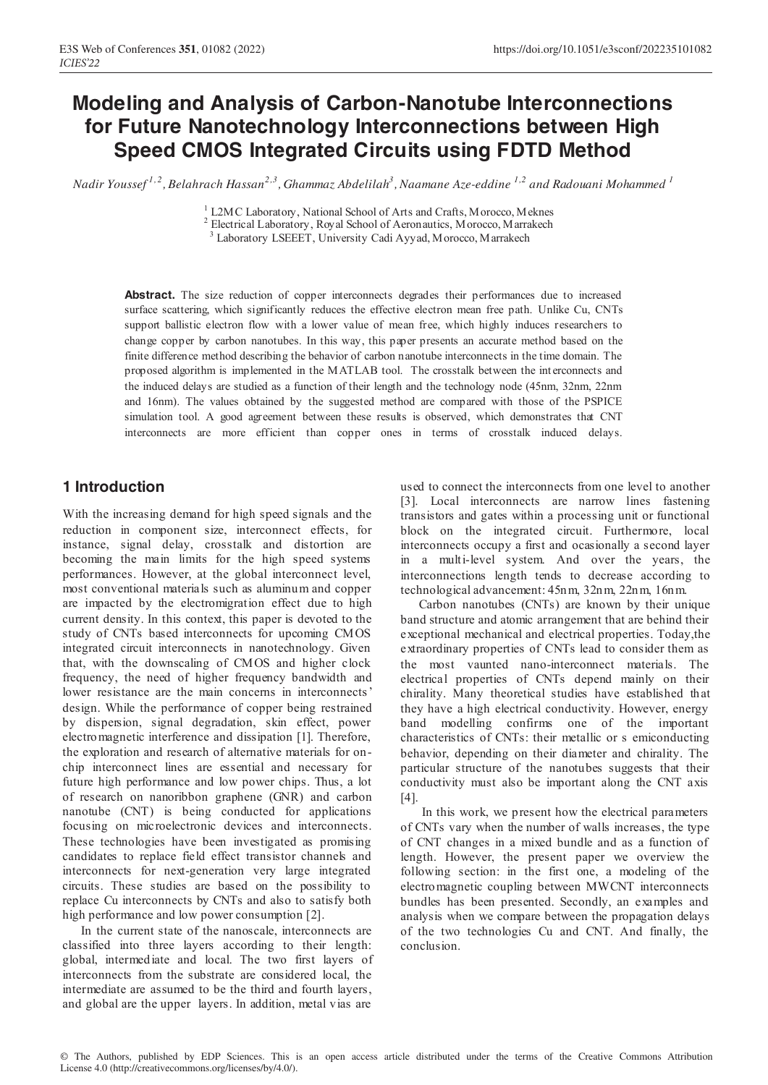# **Modeling and Analysis of Carbon-Nanotube Interconnections for Future Nanotechnology Interconnections between High Speed CMOS Integrated Circuits using FDTD Method**

*Nadir Youssef 1, 2, Belahrach Hassan2, 3, Ghammaz Abdelilah3 , Naamane Aze-eddine 1, 2 and Radouani Mohammed 1*

<sup>1</sup> L2MC Laboratory, National School of Arts and Crafts, Morocco, Meknes

<sup>2</sup> Electrical Laboratory, Royal School of Aeronautics, Morocco, Marrakech <sup>3</sup> Laboratory LSEEET, University Cadi Ayyad, Morocco, Marrakech

Abstract. The size reduction of copper interconnects degrades their performances due to increased surface scattering, which significantly reduces the effective electron mean free path. Unlike Cu, CNTs support ballistic electron flow with a lower value of mean free, which highly induces researchers to change copper by carbon nanotubes. In this way, this paper presents an accurate method based on the finite difference method describing the behavior of carbon nanotube interconnects in the time domain. The proposed algorithm is implemented in the MATLAB tool. The crosstalk between the int erconnects and the induced delays are studied as a function of their length and the technology node (45nm, 32nm, 22nm and 16nm). The values obtained by the suggested method are compared with those of the PSPICE simulation tool. A good agreement between these results is observed, which demonstrates that CNT interconnects are more efficient than copper ones in terms of crosstalk induced delays.

# **1 Introduction**

With the increasing demand for high speed signals and the reduction in component size, interconnect effects, for instance, signal delay, crosstalk and distortion are becoming the main limits for the high speed systems performances. However, at the global interconnect level, most conventional materials such as aluminum and copper are impacted by the electromigration effect due to high current density. In this context, this paper is devoted to the study of CNTs based interconnects for upcoming CMOS integrated circuit interconnects in nanotechnology. Given that, with the downscaling of CMOS and higher clock frequency, the need of higher frequency bandwidth and lower resistance are the main concerns in interconnects' design. While the performance of copper being restrained by dispersion, signal degradation, skin effect, power electromagnetic interference and dissipation [1]. Therefore, the exploration and research of alternative materials for onchip interconnect lines are essential and necessary for future high performance and low power chips. Thus, a lot of research on nanoribbon graphene (GNR) and carbon nanotube (CNT) is being conducted for applications focusing on microelectronic devices and interconnects. These technologies have been investigated as promising candidates to replace field effect transistor channels and interconnects for next-generation very large integrated circuits. These studies are based on the possibility to replace Cu interconnects by CNTs and also to satisfy both high performance and low power consumption [2].

In the current state of the nanoscale, interconnects are classified into three layers according to their length: global, intermediate and local. The two first layers of interconnects from the substrate are considered local, the intermediate are assumed to be the third and fourth layers, and global are the upper layers. In addition, metal vias are

used to connect the interconnects from one level to another [3]. Local interconnects are narrow lines fastening transistors and gates within a processing unit or functional block on the integrated circuit. Furthermore, local interconnects occupy a first and ocasionally a second layer in a multi-level system. And over the years, the interconnections length tends to decrease according to technological advancement: 45nm, 32nm, 22nm, 16nm.

Carbon nanotubes (CNTs) are known by their unique band structure and atomic arrangement that are behind their exceptional mechanical and electrical properties. Today,the extraordinary properties of CNTs lead to consider them as the most vaunted nano-interconnect materials. The electrical properties of CNTs depend mainly on their chirality. Many theoretical studies have established that they have a high electrical conductivity. However, energy band modelling confirms one of the important characteristics of CNTs: their metallic or s emiconducting behavior, depending on their diameter and chirality. The particular structure of the nanotubes suggests that their conductivity must also be important along the CNT axis [4].

In this work, we present how the electrical parameters of CNTs vary when the number of walls increases, the type of CNT changes in a mixed bundle and as a function of length. However, the present paper we overview the following section: in the first one, a modeling of the electromagnetic coupling between MWCNT interconnects bundles has been presented. Secondly, an examples and analysis when we compare between the propagation delays of the two technologies Cu and CNT. And finally, the conclusion.

© The Authors, published by EDP Sciences. This is an open access article distributed under the terms of the Creative Commons Attribution License 4.0 (http://creativecommons.org/licenses/by/4.0/).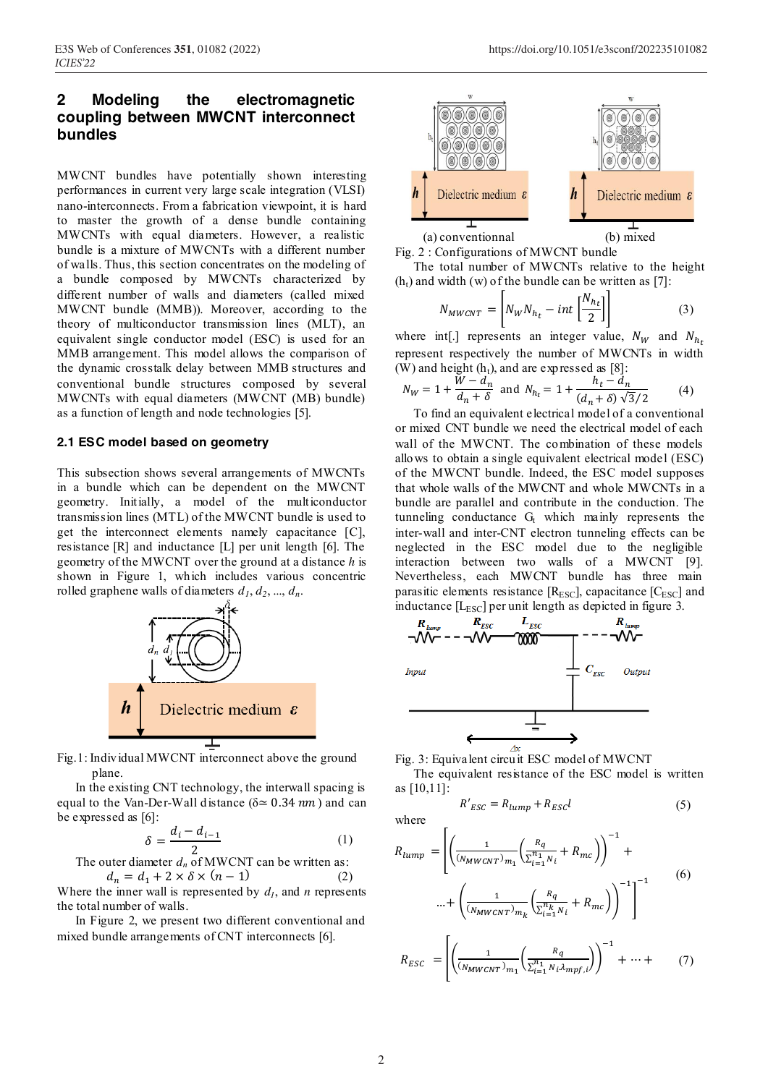## **2 Modeling the electromagnetic coupling between MWCNT interconnect bundles**

MWCNT bundles have potentially shown interesting performances in current very large scale integration (VLSI) nano-interconnects. From a fabrication viewpoint, it is hard to master the growth of a dense bundle containing MWCNTs with equal diameters. However, a realistic bundle is a mixture of MWCNTs with a different number of walls. Thus, this section concentrates on the modeling of a bundle composed by MWCNTs characterized by different number of walls and diameters (called mixed MWCNT bundle (MMB)). Moreover, according to the theory of multiconductor transmission lines (MLT), an equivalent single conductor model (ESC) is used for an MMB arrangement. This model allows the comparison of the dynamic crosstalk delay between MMB structures and conventional bundle structures composed by several MWCNTs with equal diameters (MWCNT (MB) bundle) as a function of length and node technologies [5].

#### **2.1 ESC model based on geometry**

This subsection shows several arrangements of MWCNTs in a bundle which can be dependent on the MWCNT geometry. Initially, a model of the multiconductor transmission lines (MTL) of the MWCNT bundle is used to get the interconnect elements namely capacitance [C], resistance [R] and inductance [L] per unit length [6]. The geometry of the MWCNT over the ground at a distance *h* is shown in Figure 1, which includes various concentric rolled graphene walls of diameters  $d_1, d_2, ..., d_n$ .



Fig.1: Individual MWCNT interconnect above the ground plane.

In the existing CNT technology, the interwall spacing is equal to the Van-Der-Wall distance ( $\delta \approx 0.34$  nm) and can be expressed as [6]:

$$
\delta = \frac{d_i - d_{i-1}}{2}
$$
 (1)  
The outer diameter  $d_n$  of MWCNT can be written as:

 $d_n = d_1 + 2 \times \delta \times (n-1)$  (2)

Where the inner wall is represented by  $d_1$ , and  $n$  represents the total number of walls.

In Figure 2, we present two different conventional and mixed bundle arrangements of CNT interconnects [6].



Fig. 2 : Configurations of MWCNT bundle

The total number of MWCNTs relative to the height  $(h_t)$  and width (w) of the bundle can be written as [7]:

$$
N_{MWCNT} = \left[ N_W N_{h_t} - int \left[ \frac{N_{h_t}}{2} \right] \right]
$$
 (3)

where int[.] represents an integer value,  $N_W$  and  $N_{h_t}$ represent respectively the number of MWCNTs in width (W) and height  $(h_t)$ , and are expressed as [8]:

$$
N_W = 1 + \frac{W - d_n}{d_n + \delta} \text{ and } N_{h_t} = 1 + \frac{h_t - d_n}{(d_n + \delta)\sqrt{3}/2} \tag{4}
$$

To find an equivalent electrical model of a conventional or mixed CNT bundle we need the electrical model of each wall of the MWCNT. The combination of these models allows to obtain a single equivalent electrical model (ESC) of the MWCNT bundle. Indeed, the ESC model supposes that whole walls of the MWCNT and whole MWCNTs in a bundle are parallel and contribute in the conduction. The tunneling conductance  $G_t$  which mainly represents the inter-wall and inter-CNT electron tunneling effects can be neglected in the ESC model due to the negligible interaction between two walls of a MWCNT [9]. Nevertheless, each MWCNT bundle has three main parasitic elements resistance  $[R_{\text{ESC}}]$ , capacitance  $[C_{\text{ESC}}]$  and



Fig. 3: Equivalent circuit ESC model of MWCNT

The equivalent resistance of the ESC model is written as [10,11]:

 $R'_{ESC} = R_{lump} + R_{ESC}l$  (5)

$$
here
$$

 $\mathbf{w}$ 

$$
R_{lump} = \left[ \left( \frac{1}{(N_{MWCNT})_{m_1}} \left( \frac{R_q}{\sum_{i=1}^{n_1} N_i} + R_{mc} \right) \right)^{-1} + \cdots + \left( \frac{1}{(N_{MWCNT})_{m_k}} \left( \frac{R_q}{\sum_{i=1}^{n_k} N_i} + R_{mc} \right) \right)^{-1} \right]^{-1}
$$
(6)  

$$
R_{ESC} = \left[ \left( \frac{1}{(N_{MWCNT})_{m_1}} \left( \frac{R_q}{\sum_{i=1}^{n_1} N_i \lambda_{mpf,i}} \right) \right)^{-1} + \cdots + \qquad (7)
$$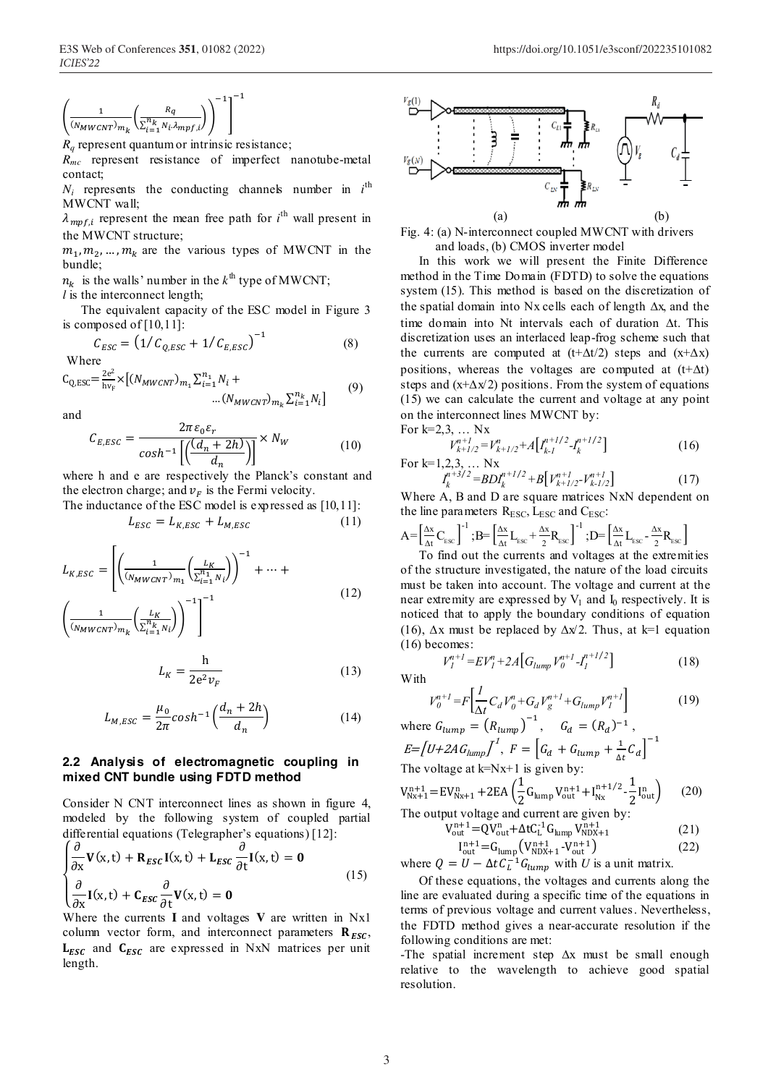$$
\left(\frac{1}{(N_{MWCNT})_{m_k}}\left(\frac{R_q}{\sum_{i=1}^{n_k} N_i \lambda_{mpf,i}}\right)\right)^{-1}\right]^{-1}
$$

*Rq* represent quantum or intrinsic resistance;

*R<sub>mc</sub>* represent resistance of imperfect nanotube-metal contact;

 $N_i$  represents the conducting channels number in  $i^{\text{th}}$ MWCNT wall;

 $\lambda_{mpf,i}$  represent the mean free path for  $i^{\text{th}}$  wall present in the MWCNT structure;

 $m_1, m_2, \ldots, m_k$  are the various types of MWCNT in the bundle;

 $n_k$  is the walls' number in the  $k^{\text{th}}$  type of MWCNT;

*l* is the interconnect length;

The equivalent capacity of the ESC model in Figure 3 is composed of  $[10, 11]$ :

$$
C_{ESC} = \left(1/C_{Q,ESC} + 1/C_{E,ESC}\right)^{-1}
$$
\nWhere

$$
C_{Q, ESC} = \frac{2e^2}{h v_F} \times [(N_{MWCNT})_{m_1} \sum_{i=1}^{n_1} N_i + \dots (N_{MWCNT})_{m_k} \sum_{i=1}^{n_k} N_i]
$$
(9)

and

 $\overline{\phantom{a}}$ 

$$
C_{E, ESC} = \frac{2\pi \varepsilon_0 \varepsilon_r}{\cosh^{-1}\left[\left(\frac{(d_n + 2h)}{d_n}\right)\right]} \times N_W
$$
 (10)

where h and e are respectively the Planck's constant and the electron charge; and  $v_F$  is the Fermi velocity.

The inductance of the ESC model is expressed as [10,11]:

$$
L_{ESC} = L_{K,ESC} + L_{M,ESC} \tag{11}
$$

$$
L_{K, ESC} = \left[ \left( \frac{1}{(N_{MWCNT})_{m_1}} \left( \frac{L_K}{\Sigma_{i=1}^{n_1} N_i} \right) \right)^{-1} + \dots + \left( \frac{1}{(N_{MWCNT})_{m_k}} \left( \frac{L_K}{\Sigma_{i=1}^{n_k} N_i} \right) \right)^{-1} \right]^{-1}
$$
(12)

$$
L_K = \frac{h}{2e^2 \nu_F} \tag{13}
$$

$$
L_{M,ESC} = \frac{\mu_0}{2\pi} \cosh^{-1} \left( \frac{d_n + 2h}{d_n} \right) \tag{14}
$$

#### **2.2 Analysis of electromagnetic coupling in mixed CNT bundle using FDTD method**

Consider N CNT interconnect lines as shown in figure 4, modeled by the following system of coupled partial differential equations (Telegrapher's equations) [12]:

$$
\begin{cases}\n\frac{\partial}{\partial x}\mathbf{V}(x,t) + \mathbf{R}_{ESC}\mathbf{I}(x,t) + \mathbf{L}_{ESC}\frac{\partial}{\partial t}\mathbf{I}(x,t) = \mathbf{0} \\
\frac{\partial}{\partial x}\mathbf{I}(x,t) + \mathbf{C}_{ESC}\frac{\partial}{\partial t}\mathbf{V}(x,t) = \mathbf{0}\n\end{cases}
$$
\n(15)

Where the currents **I** and voltages **V** are written in Nx1 column vector form, and interconnect parameters  $\mathbf{R}_{\text{ESC}}$ ,  $L_{ESC}$  and  $C_{ESC}$  are expressed in NxN matrices per unit length.





In this work we will present the Finite Difference method in the Time Domain (FDTD) to solve the equations system (15). This method is based on the discretization of the spatial domain into Nx cells each of length  $\Delta x$  and the time domain into  $Nt$  intervals each of duration  $\Delta t$ . This discretization uses an interlaced leap-frog scheme such that the currents are computed at  $(t+\Delta t/2)$  steps and  $(x+\Delta x)$ positions, whereas the voltages are computed at  $(t+\Delta t)$ steps and  $(x+\Delta x/2)$  positions. From the system of equations (15) we can calculate the current and voltage at any point on the interconnect lines MWCNT by: For  $k=2,3,... Nx$ 

 $V_{k+1/2}^{n+1} = V_{k+1/2}^n + A \left[ I_k^n \right]$  $\int_{k-l}^{n+1/2} -I_{k}^{n}$  (16)

For k=1,2,3, ... Nx  
\n
$$
I_k^{n+3/2} = BDI_k^{n+1/2} + B[V_{k+1/2}^{n+1} - V_{k-1/2}^{n+1}]
$$
\n(17)

Where A, B and D are square matrices NxN dependent on the line parameters  $R_{\text{ESC}}$ ,  $L_{\text{ESC}}$  and  $C_{\text{ESC}}$ :

$$
A = \left[\frac{\Delta x}{\Delta t} C_{\text{esc}}\right]^{-1}; B = \left[\frac{\Delta x}{\Delta t} L_{\text{esc}} + \frac{\Delta x}{2} R_{\text{esc}}\right]^{-1}; D = \left[\frac{\Delta x}{\Delta t} L_{\text{esc}} - \frac{\Delta x}{2} R_{\text{esc}}\right]
$$

To find out the currents and voltages at the extremities of the structure investigated, the nature of the load circuits must be taken into account. The voltage and current at the near extremity are expressed by  $V_1$  and  $I_0$  respectively. It is noticed that to apply the boundary conditions of equation (16),  $\Delta x$  must be replaced by  $\Delta x/2$ . Thus, at k=1 equation (16) becomes:

$$
V_I^{n+1} = EV_I^n + 2A \big[ G_{lump} V_0^{n+1} - I_I^{n+1/2} \big] \tag{18}
$$

With

$$
V_0^{n+1} = F \left[ \frac{I}{\Delta t} C_d V_0^n + G_d V_s^{n+1} + G_{lump} V_1^{n+1} \right]
$$
 (19)

where  $G_{lump} = (R_{lump})^{-1}$ ,  $G_d = (R_d)^{-1}$ ,  $E = [U + 2A G_{lump} ]^{T}$ ,  $F = [G_d + G_{lump} + \frac{1}{\Delta t} C_d ]^{T}$ The voltage at  $k=Nx+1$  is given by:  $\mathbf{1}$  $\mathbf{I}$ 

$$
V_{Nx+1}^{n+1} = EV_{Nx+1}^n + 2EA\left(\frac{1}{2}G_{lump}V_{out}^{n+1} + I_{Nx}^{n+1/2} - \frac{1}{2}I_{out}^n\right)
$$
 (20)  
The output voltage and current are given by:

 $V_{\text{out}}^{n+1} = QV_{\text{out}}^{n} + \Delta t C_L^{-1} G_{\text{lump}} V_{\text{NDX}+1}^{n+1}$  (21)

$$
I_{out}^{n+1} = G_{lump} (V_{NDX+1}^{n+1} - V_{out}^{n+1})
$$
 (22)

where  $Q = U - \Delta t C_L^{-1} G_{lump}$  with U is a unit matrix.

Of these equations, the voltages and currents along the line are evaluated during a specific time of the equations in terms of previous voltage and current values. Nevertheless, the FDTD method gives a near-accurate resolution if the following conditions are met:

-The spatial increment step ∆x must be small enough relative to the wavelength to achieve good spatial resolution.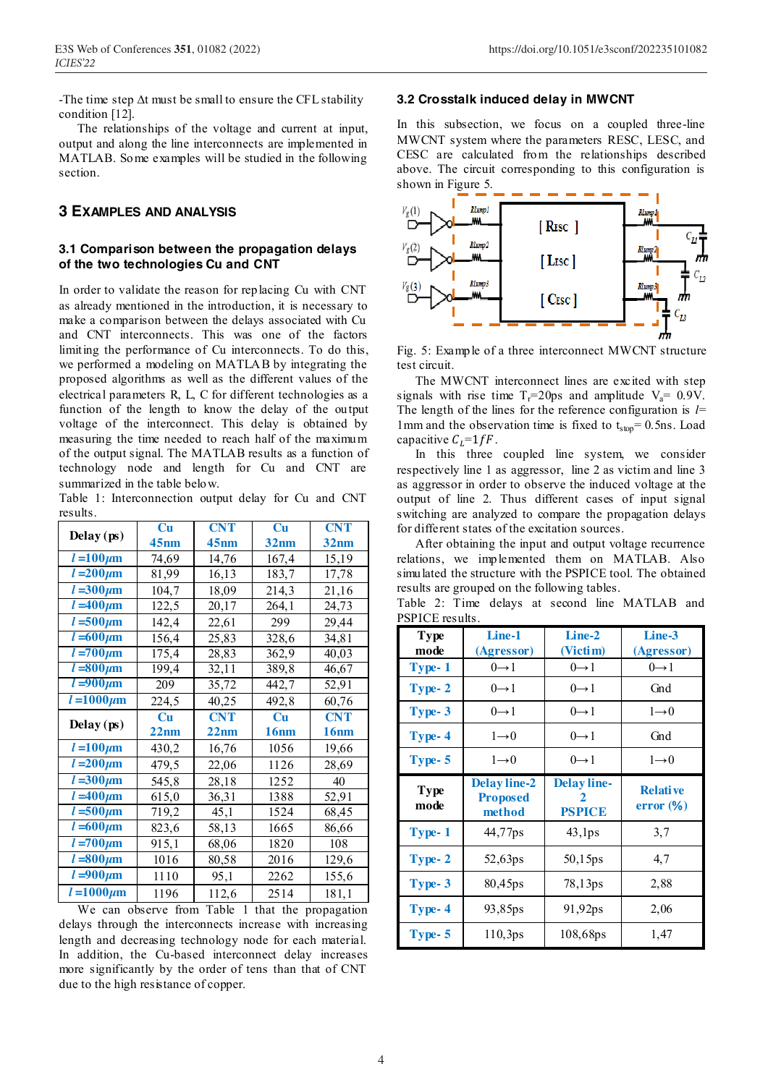-The time step ∆t must be small to ensure the CFL stability condition [12].

The relationships of the voltage and current at input, output and along the line interconnects are implemented in MATLAB. Some examples will be studied in the following section.

### **3 EXAMPLES AND ANALYSIS**

#### **3.1 Comparison between the propagation delays of the two technologies Cu and CNT**

In order to validate the reason for replacing Cu with CNT as already mentioned in the introduction, it is necessary to make a comparison between the delays associated with Cu and CNT interconnects. This was one of the factors limiting the performance of Cu interconnects. To do this, we performed a modeling on MATLAB by integrating the proposed algorithms as well as the different values of the electrical parameters R, L, C for different technologies as a function of the length to know the delay of the output voltage of the interconnect. This delay is obtained by measuring the time needed to reach half of the maximum of the output signal. The MATLAB results as a function of technology node and length for Cu and CNT are summarized in the table below.

Table 1: Interconnection output delay for Cu and CNT results.

|                             | $cu$  | <b>CNT</b> | $\mathbf{Cu}$ | <b>CNT</b>  |
|-----------------------------|-------|------------|---------------|-------------|
| Delay (ps)                  | 45nm  | 45nm       | 32nm          | 32nm        |
| $l = 100 \mu m$             | 74,69 | 14,76      | 167,4         | 15,19       |
| $l = 200 \mu m$             | 81,99 | 16,13      | 183,7         | 17,78       |
| $\overline{l=300\mu m}$     | 104,7 | 18,09      | 214,3         | 21,16       |
| $\overline{l} = 400 \mu m$  | 122,5 | 20,17      | 264,1         | 24,73       |
| $l = 500 \mu m$             | 142,4 | 22,61      | 299           | 29,44       |
| $l = 600 \mu m$             | 156,4 | 25,83      | 328,6         | 34,81       |
| $l = 700 \mu m$             | 175,4 | 28,83      | 362,9         | 40,03       |
| $l = 800 \mu m$             | 199,4 | 32,11      | 389,8         | 46,67       |
| $l = 900 \mu m$             | 209   | 35,72      | 442,7         | 52,91       |
| $\overline{l} = 1000 \mu m$ | 224,5 | 40,25      | 492,8         | 60,76       |
|                             | $cu$  | <b>CNT</b> | $_{\rm Cu}$   | <b>CNT</b>  |
| Delay (ps)                  | 22nm  | 22nm       | <b>16nm</b>   | <b>16nm</b> |
|                             |       |            |               |             |
| $l = 100 \mu m$             | 430,2 | 16,76      | 1056          | 19,66       |
| $l = 200 \mu m$             | 479,5 | 22,06      | 1126          | 28,69       |
| $\overline{l} = 300 \mu m$  | 545,8 | 28,18      | 1252          | 40          |
| $l = 400 \mu m$             | 615,0 | 36,31      | 1388          | 52,91       |
| $l = 500 \mu m$             | 719,2 | 45,1       | 1524          | 68,45       |
| $\overline{l} = 600 \mu m$  | 823,6 | 58,13      | 1665          | 86,66       |
| $l = 700 \mu m$             | 915,1 | 68,06      | 1820          | 108         |
| $\overline{l=800\mu m}$     | 1016  | 80,58      | 2016          | 129,6       |
| $l = 900 \mu m$             | 1110  | 95,1       | 2262          | 155,6       |

We can observe from Table 1 that the propagation delays through the interconnects increase with increasing length and decreasing technology node for each material. In addition, the Cu-based interconnect delay increases more significantly by the order of tens than that of CNT due to the high resistance of copper.

#### **3.2 Crosstalk induced delay in MWCNT**

In this subsection, we focus on a coupled three-line MWCNT system where the parameters RESC, LESC, and CESC are calculated from the relationships described above. The circuit corresponding to this configuration is shown in Figure 5.



Fig. 5: Example of a three interconnect MWCNT structure test circuit.

The MWCNT interconnect lines are excited with step signals with rise time  $T_r=20ps$  and amplitude  $V_a=0.9V$ . The length of the lines for the reference configuration is *l*= 1mm and the observation time is fixed to  $t_{\text{stop}} = 0.5$ ns. Load capacitive  $C<sub>L</sub>=1fF$ .

In this three coupled line system, we consider respectively line 1 as aggressor, line 2 as victim and line 3 as aggressor in order to observe the induced voltage at the output of line 2. Thus different cases of input signal switching are analyzed to compare the propagation delays for different states of the excitation sources.

After obtaining the input and output voltage recurrence relations, we implemented them on MATLAB. Also simulated the structure with the PSPICE tool. The obtained results are grouped on the following tables.

Table 2: Time delays at second line MATLAB and PSPICE results.

| <b>Type</b>         | Line-1                                           | Line-2                                   | Line-3                      |
|---------------------|--------------------------------------------------|------------------------------------------|-----------------------------|
| mode                | (Agressor)                                       | (Victim)                                 | (Agressor)                  |
| Type-1              | $0 \rightarrow 1$                                | $0 \rightarrow 1$                        | $0 \rightarrow 1$           |
| Type-2              | $0 \rightarrow 1$                                | $0 \rightarrow 1$                        | Gnd                         |
| $Type-3$            | $0 \rightarrow 1$                                | $0 \rightarrow 1$                        | $1\rightarrow 0$            |
| Type-4              | $1\rightarrow 0$                                 | $0 \rightarrow 1$                        | Gnd                         |
| Type-5              | $1\rightarrow 0$                                 | $0 \rightarrow 1$                        | $1\rightarrow 0$            |
| <b>Type</b><br>mode | <b>Delay line-2</b><br><b>Proposed</b><br>method | <b>Delay line-</b><br>2<br><b>PSPICE</b> | <b>Relative</b><br>error(%) |
| Type- 1             | 44,77ps                                          | 43,1ps                                   | 3,7                         |
| Type-2              | 52,63ps                                          | 50,15ps                                  | 4,7                         |
| Type-3              | 80,45ps                                          | 78,13ps                                  | 2,88                        |
| Type-4              | 93,85ps                                          | 91,92ps                                  | 2,06                        |
| $Type-5$            | 110,3 <sub>ps</sub>                              | 108,68ps                                 | 1,47                        |